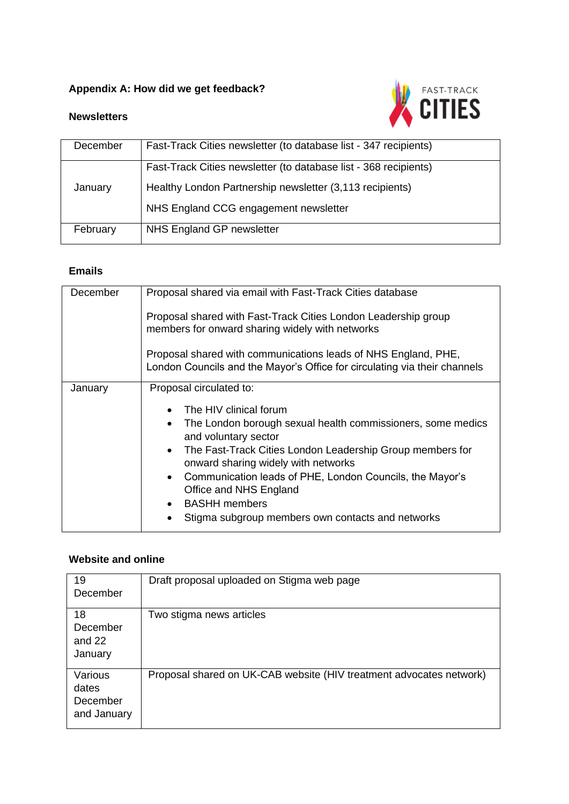## **Appendix A: How did we get feedback?**



#### **Newsletters**

| December | Fast-Track Cities newsletter (to database list - 347 recipients) |
|----------|------------------------------------------------------------------|
| January  | Fast-Track Cities newsletter (to database list - 368 recipients) |
|          | Healthy London Partnership newsletter (3,113 recipients)         |
|          | NHS England CCG engagement newsletter                            |
| February | NHS England GP newsletter                                        |

### **Emails**

| December | Proposal shared via email with Fast-Track Cities database                                                                                   |
|----------|---------------------------------------------------------------------------------------------------------------------------------------------|
|          | Proposal shared with Fast-Track Cities London Leadership group<br>members for onward sharing widely with networks                           |
|          | Proposal shared with communications leads of NHS England, PHE,<br>London Councils and the Mayor's Office for circulating via their channels |
| January  | Proposal circulated to:                                                                                                                     |
|          | The HIV clinical forum<br>$\bullet$<br>The London borough sexual health commissioners, some medics<br>$\bullet$<br>and voluntary sector     |
|          | The Fast-Track Cities London Leadership Group members for<br>$\bullet$<br>onward sharing widely with networks                               |
|          | Communication leads of PHE, London Councils, the Mayor's<br>$\bullet$<br>Office and NHS England                                             |
|          | • BASHH members                                                                                                                             |
|          | Stigma subgroup members own contacts and networks                                                                                           |

#### **Website and online**

| 19<br>December                              | Draft proposal uploaded on Stigma web page                          |
|---------------------------------------------|---------------------------------------------------------------------|
| 18<br>December<br>and 22<br>January         | Two stigma news articles                                            |
| Various<br>dates<br>December<br>and January | Proposal shared on UK-CAB website (HIV treatment advocates network) |